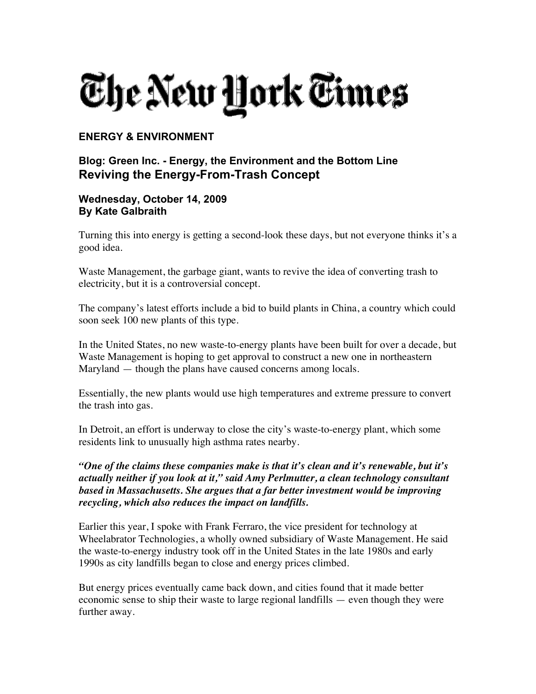## The New <u>H</u>ork Times

## **ENERGY & ENVIRONMENT**

## **Blog: Green Inc. - Energy, the Environment and the Bottom Line Reviving the Energy-From-Trash Concept**

## **Wednesday, October 14, 2009 By Kate Galbraith**

Turning this into energy is getting a second-look these days, but not everyone thinks it's a good idea.

Waste Management, the garbage giant, wants to revive the idea of converting trash to electricity, but it is a controversial concept.

The company's latest efforts include a bid to build plants in China, a country which could soon seek 100 new plants of this type.

In the United States, no new waste-to-energy plants have been built for over a decade, but Waste Management is hoping to get approval to construct a new one in northeastern Maryland — though the plans have caused concerns among locals.

Essentially, the new plants would use high temperatures and extreme pressure to convert the trash into gas.

In Detroit, an effort is underway to close the city's waste-to-energy plant, which some residents link to unusually high asthma rates nearby.

*"One of the claims these companies make is that it's clean and it's renewable, but it's actually neither if you look at it," said Amy Perlmutter, a clean technology consultant based in Massachusetts. She argues that a far better investment would be improving recycling, which also reduces the impact on landfills.*

Earlier this year, I spoke with Frank Ferraro, the vice president for technology at Wheelabrator Technologies, a wholly owned subsidiary of Waste Management. He said the waste-to-energy industry took off in the United States in the late 1980s and early 1990s as city landfills began to close and energy prices climbed.

But energy prices eventually came back down, and cities found that it made better economic sense to ship their waste to large regional landfills — even though they were further away.